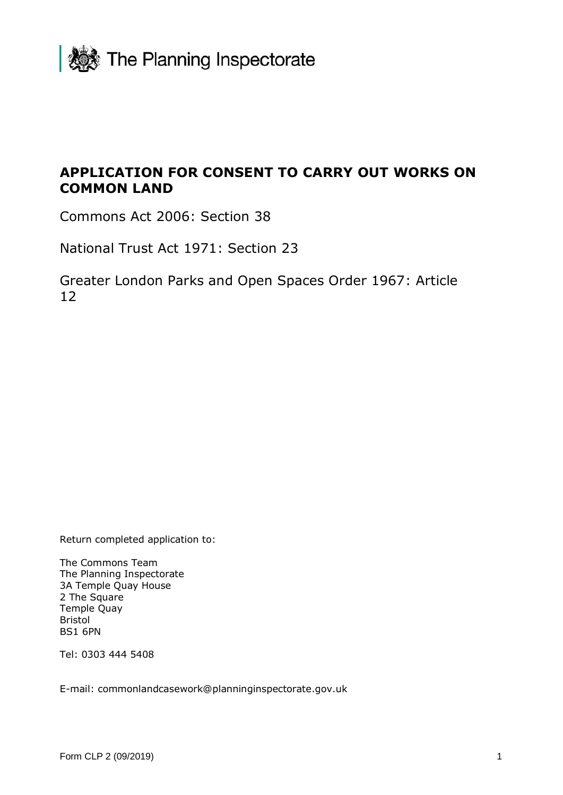

# **APPLICATION FOR CONSENT TO CARRY OUT WORKS ON COMMON LAND**

Commons Act 2006: Section 38

National Trust Act 1971: Section 23

Greater London Parks and Open Spaces Order 1967: Article 12

Return completed application to:

The Commons Team The Planning Inspectorate 3A Temple Quay House 2 The Square Temple Quay Bristol BS1 6PN

Tel: 0303 444 5408

E-mail: commonlandcasework@planninginspectorate.gov.uk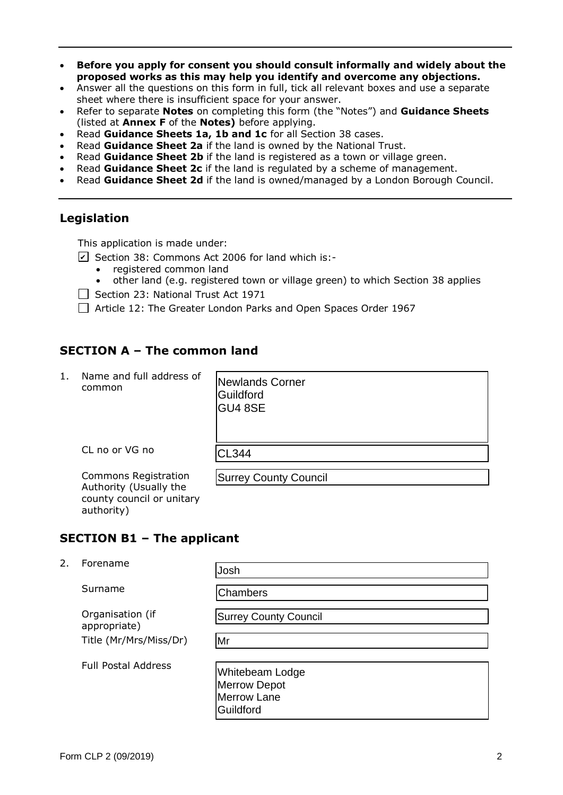- **Before you apply for consent you should consult informally and widely about the proposed works as this may help you identify and overcome any objections.**
- Answer all the questions on this form in full, tick all relevant boxes and use a separate sheet where there is insufficient space for your answer.
- Refer to separate **Notes** on completing this form (the "Notes") and **Guidance Sheets** (listed at **Annex F** of the **Notes)** before applying.
- Read **Guidance Sheets 1a, 1b and 1c** for all Section 38 cases.
- Read **Guidance Sheet 2a** if the land is owned by the National Trust.
- Read **Guidance Sheet 2b** if the land is registered as a town or village green.
- Read **Guidance Sheet 2c** if the land is regulated by a scheme of management.
- Read **Guidance Sheet 2d** if the land is owned/managed by a London Borough Council.

## **Legislation**

This application is made under:

- $\angle$  Section 38: Commons Act 2006 for land which is:-
	- registered common land
	- other land (e.g. registered town or village green) to which Section 38 applies
- $\Box$  Section 23: National Trust Act 1971
- Article 12: The Greater London Parks and Open Spaces Order 1967

## **SECTION A – The common land**

1. Name and full address of common

CL no or VG no

Newlands Corner Guildford GU4 8SE CL344 Surrey County Council

> e e rr a e ld r

Commons Registration Authority (Usually the county council or unitary

#### **SECTION B1 – The applicant**

2. Forename

Josh Earthoff Chambers<br>
Chambers<br>
Surrey County Council<br>
Mr

Surname

authority)

Organisation (if appropriate) Title (Mr/Mrs/Miss/Dr)

Chambers

Full Postal Address

| Whitebeam Lodge     |  |
|---------------------|--|
| <b>Merrow Depot</b> |  |
| <b>Merrow Lane</b>  |  |
| Guildford           |  |
|                     |  |

Surrey County Council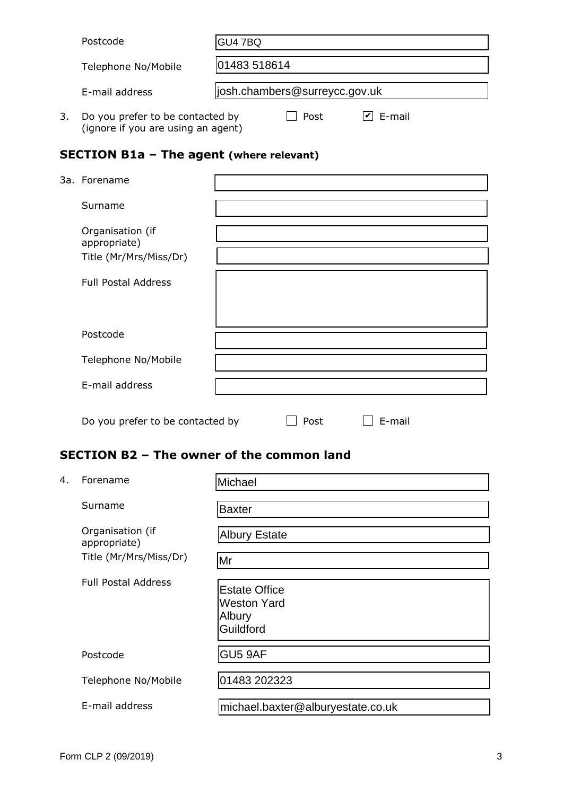| Postcode<br>GU4 7BQ              |              |                                |        |  |
|----------------------------------|--------------|--------------------------------|--------|--|
| Telephone No/Mobile              | 01483 518614 |                                |        |  |
| E-mail address                   |              | ljosh.chambers@surreycc.gov.uk |        |  |
| Do you prefer to be contacted by |              | Post                           | E-mail |  |

(ignore if you are using an agent)

**SECTION B1a – The agent (where relevant)**

| 3a. Forename                     |      |        |  |
|----------------------------------|------|--------|--|
| Surname                          |      |        |  |
| Organisation (if<br>appropriate) |      |        |  |
| Title (Mr/Mrs/Miss/Dr)           |      |        |  |
| <b>Full Postal Address</b>       |      |        |  |
| Postcode                         |      |        |  |
| Telephone No/Mobile              |      |        |  |
| E-mail address                   |      |        |  |
| Do you prefer to be contacted by | Post | E-mail |  |

## **SECTION B2 – The owner of the common land**

| 4. | Forename                         | Michael                                                           |
|----|----------------------------------|-------------------------------------------------------------------|
|    | Surname                          | <b>Baxter</b>                                                     |
|    | Organisation (if<br>appropriate) | <b>Albury Estate</b>                                              |
|    | Title (Mr/Mrs/Miss/Dr)           | Mr                                                                |
|    | <b>Full Postal Address</b>       | <b>Estate Office</b><br><b>Weston Yard</b><br>Albury<br>Guildford |
|    | Postcode                         | GU5 9AF                                                           |
|    | Telephone No/Mobile              | 01483 202323                                                      |
|    | E-mail address                   | michael.baxter@alburyestate.co.uk                                 |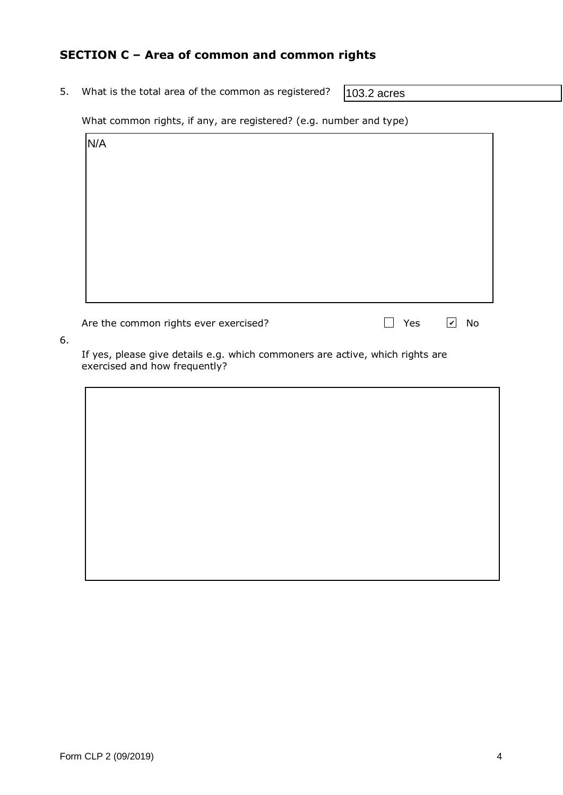## **SECTION C – Area of common and common rights**

5. What is the total area of the common as registered?

103.2 acres

What common rights, if any, are registered? (e.g. number and type)

| N/A |  |  |
|-----|--|--|
|     |  |  |
|     |  |  |
|     |  |  |
|     |  |  |
|     |  |  |
|     |  |  |
|     |  |  |
|     |  |  |

Are the common rights ever exercised?  $\Box$  Yes  $\Box$  No

| Yes | $ \boldsymbol{v} $ | N |
|-----|--------------------|---|
|     |                    |   |

6.

If yes, please give details e.g. which commoners are active, which rights are exercised and how frequently?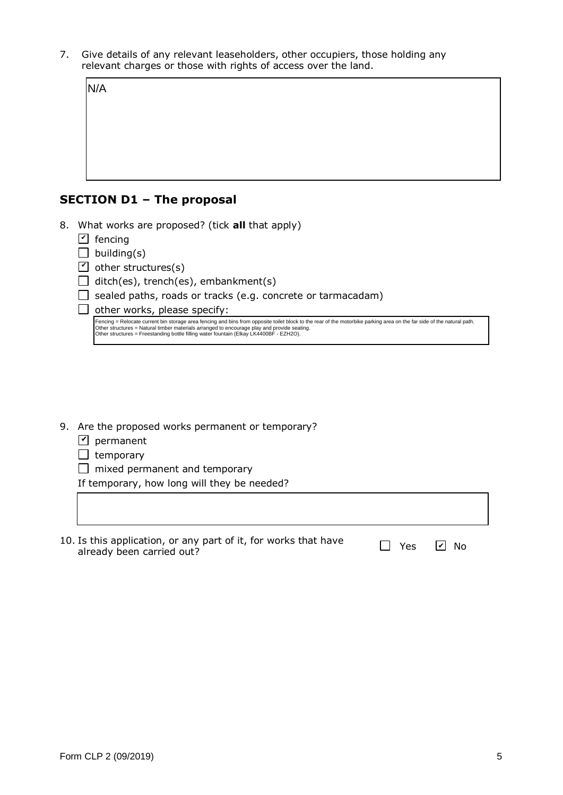7. Give details of any relevant leaseholders, other occupiers, those holding any relevant charges or those with rights of access over the land.

| N/A |  |  |  |
|-----|--|--|--|
|     |  |  |  |
|     |  |  |  |
|     |  |  |  |
|     |  |  |  |

- **SECTION D1 – The proposal**
- 8. What works are proposed? (tick **all** that apply)
	- $\mathsf{\Sigma}\rangle$  fencing
	- $\Box$  building(s)
	- $\mathcal{I}$  other structures(s)
	- $\Box$  ditch(es), trench(es), embankment(s)
	- $\Box$  sealed paths, roads or tracks (e.g. concrete or tarmacadam)
	- $\Box$  other works, please specify:

Fencing = Relocate current bin storage area fencing and bins from opposite toilet block to the rear of the motorbike parking area on the far side of the natural path.<br>Other structures = Natural timber materials arranged to

- 9. Are the proposed works permanent or temporary?
	- $\mathbf{Y}$  permanent
	- $\Box$  temporary
	- $\Box$  mixed permanent and temporary

If temporary, how long will they be needed?

| 10. Is this application, or any part of it, for works that have<br>already been carried out? | Yes <i>V</i> No |  |
|----------------------------------------------------------------------------------------------|-----------------|--|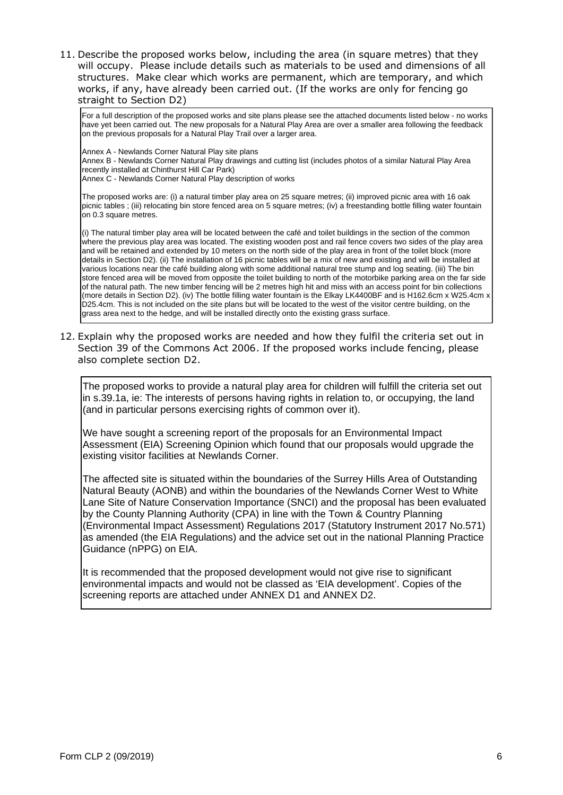11. Describe the proposed works below, including the area (in square metres) that they will occupy. Please include details such as materials to be used and dimensions of all structures. Make clear which works are permanent, which are temporary, and which works, if any, have already been carried out. (If the works are only for fencing go straight to Section D2)

For a full description of the proposed works and site plans please see the attached documents listed below - no works have yet been carried out. The new proposals for a Natural Play Area are over a smaller area following the feedback on the previous proposals for a Natural Play Trail over a larger area.

Annex A - Newlands Corner Natural Play site plans

Annex B - Newlands Corner Natural Play drawings and cutting list (includes photos of a similar Natural Play Area recently installed at Chinthurst Hill Car Park)

Annex C - Newlands Corner Natural Play description of works

The proposed works are: (i) a natural timber play area on 25 square metres; (ii) improved picnic area with 16 oak picnic tables ; (iii) relocating bin store fenced area on 5 square metres; (iv) a freestanding bottle filling water fountain on 0.3 square metres.

(i) The natural timber play area will be located between the café and toilet buildings in the section of the common where the previous play area was located. The existing wooden post and rail fence covers two sides of the play area and will be retained and extended by 10 meters on the north side of the play area in front of the toilet block (more details in Section D2). (ii) The installation of 16 picnic tables will be a mix of new and existing and will be installed at various locations near the café building along with some additional natural tree stump and log seating. (iii) The bin store fenced area will be moved from opposite the toilet building to north of the motorbike parking area on the far side of the natural path. The new timber fencing will be 2 metres high hit and miss with an access point for bin collections (more details in Section D2). (iv) The bottle filling water fountain is the Elkay LK4400BF and is H162.6cm x W25.4cm x D25.4cm. This is not included on the site plans but will be located to the west of the visitor centre building, on the grass area next to the hedge, and will be installed directly onto the existing grass surface.

12. Explain why the proposed works are needed and how they fulfil the criteria set out in Section 39 of the Commons Act 2006. If the proposed works include fencing, please also complete section D2.

The proposed works to provide a natural play area for children will fulfill the criteria set out in s.39.1a, ie: The interests of persons having rights in relation to, or occupying, the land (and in particular persons exercising rights of common over it).

We have sought a screening report of the proposals for an Environmental Impact Assessment (EIA) Screening Opinion which found that our proposals would upgrade the existing visitor facilities at Newlands Corner.

The affected site is situated within the boundaries of the Surrey Hills Area of Outstanding Natural Beauty (AONB) and within the boundaries of the Newlands Corner West to White Lane Site of Nature Conservation Importance (SNCI) and the proposal has been evaluated by the County Planning Authority (CPA) in line with the Town & Country Planning (Environmental Impact Assessment) Regulations 2017 (Statutory Instrument 2017 No.571) as amended (the EIA Regulations) and the advice set out in the national Planning Practice Guidance (nPPG) on EIA.

It is recommended that the proposed development would not give rise to significant environmental impacts and would not be classed as 'EIA development'. Copies of the screening reports are attached under ANNEX D1 and ANNEX D2.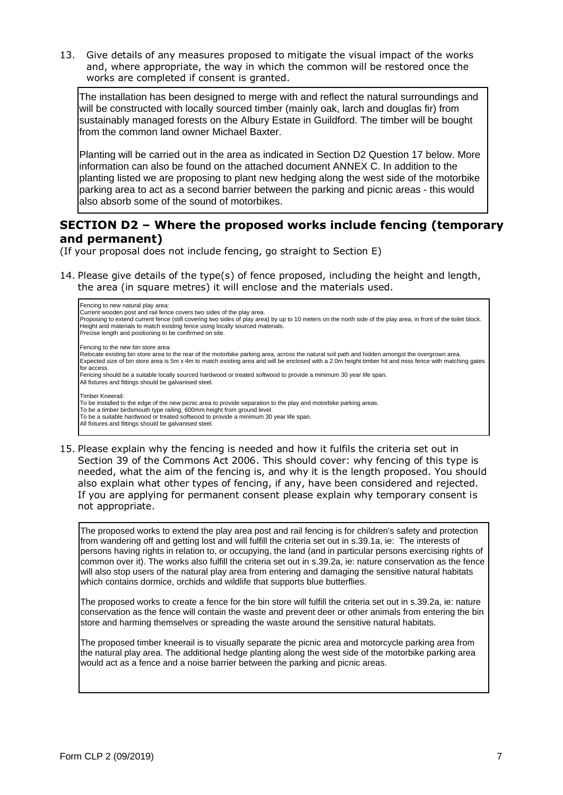13. Give details of any measures proposed to mitigate the visual impact of the works and, where appropriate, the way in which the common will be restored once the works are completed if consent is granted.

The installation has been designed to merge with and reflect the natural surroundings and will be constructed with locally sourced timber (mainly oak, larch and douglas fir) from sustainably managed forests on the Albury Estate in Guildford. The timber will be bought from the common land owner Michael Baxter.

Planting will be carried out in the area as indicated in Section D2 Question 17 below. More information can also be found on the attached document ANNEX C. In addition to the planting listed we are proposing to plant new hedging along the west side of the motorbike parking area to act as a second barrier between the parking and picnic areas - this would also absorb some of the sound of motorbikes.

### **SECTION D2 – Where the proposed works include fencing (temporary and permanent)**

(If your proposal does not include fencing, go straight to Section E)

14. Please give details of the type(s) of fence proposed, including the height and length, the area (in square metres) it will enclose and the materials used.



15. Please explain why the fencing is needed and how it fulfils the criteria set out in Section 39 of the Commons Act 2006. This should cover: why fencing of this type is needed, what the aim of the fencing is, and why it is the length proposed. You should also explain what other types of fencing, if any, have been considered and rejected. If you are applying for permanent consent please explain why temporary consent is not appropriate.

The proposed works to extend the play area post and rail fencing is for children's safety and protection from wandering off and getting lost and will fulfill the criteria set out in s.39.1a, ie: The interests of persons having rights in relation to, or occupying, the land (and in particular persons exercising rights of common over it). The works also fulfill the criteria set out in s.39.2a, ie: nature conservation as the fence will also stop users of the natural play area from entering and damaging the sensitive natural habitats which contains dormice, orchids and wildlife that supports blue butterflies.

The proposed works to create a fence for the bin store will fulfill the criteria set out in s.39.2a, ie: nature conservation as the fence will contain the waste and prevent deer or other animals from entering the bin store and harming themselves or spreading the waste around the sensitive natural habitats.

The proposed timber kneerail is to visually separate the picnic area and motorcycle parking area from the natural play area. The additional hedge planting along the west side of the motorbike parking area would act as a fence and a noise barrier between the parking and picnic areas.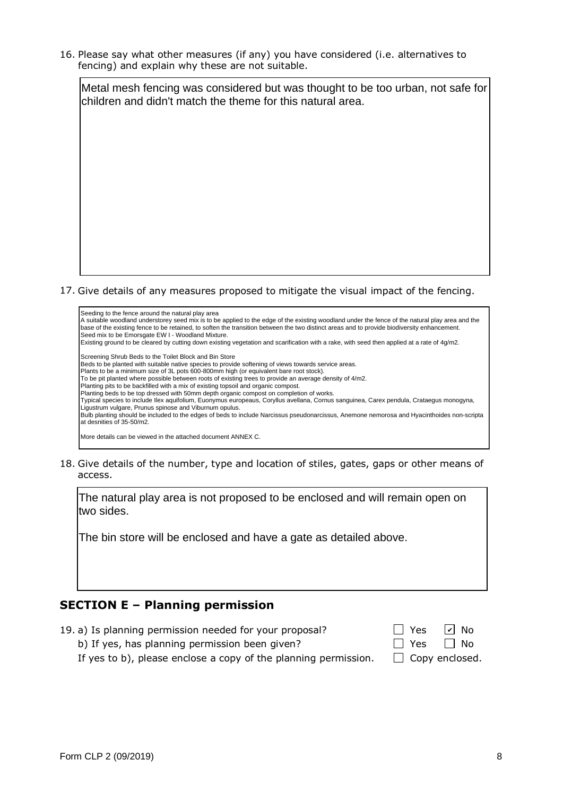16. Please say what other measures (if any) you have considered (i.e. alternatives to fencing) and explain why these are not suitable.



17. Give details of any measures proposed to mitigate the visual impact of the fencing.



18. Give details of the number, type and location of stiles, gates, gaps or other means of access.

The natural play area is not proposed to be enclosed and will remain open on two sides.

The bin store will be enclosed and have a gate as detailed above.

## **SECTION E – Planning permission**

- 19. a) Is planning permission needed for your proposal?
	- b) If yes, has planning permission been given?

| $\Box$ Yes | $\boxed{\mathsf{v}}$ No |
|------------|-------------------------|
| $\Box$ Yes | $\Box$ No               |
| . .        |                         |

If yes to b), please enclose a copy of the planning permission.  $\Box$  Copy enclosed.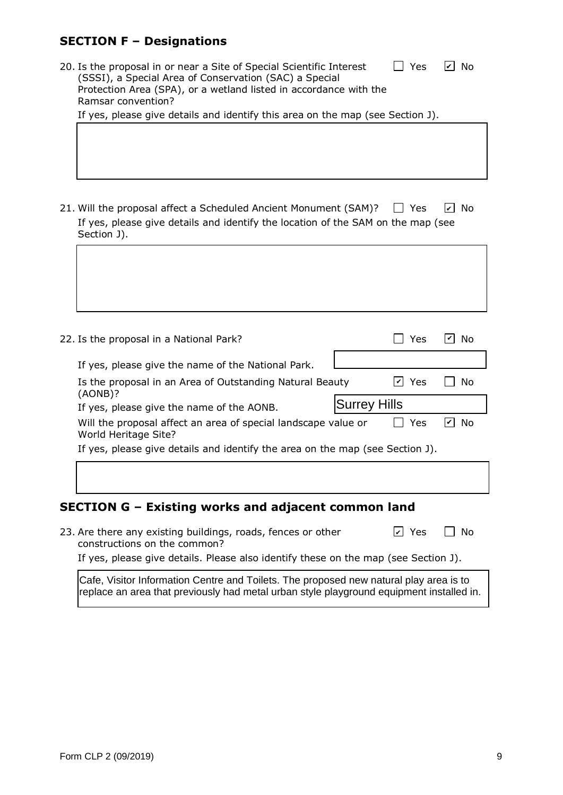## **SECTION F – Designations**

|                                                                               | 20. Is the proposal in or near a Site of Special Scientific Interest<br>(SSSI), a Special Area of Conservation (SAC) a Special<br>Protection Area (SPA), or a wetland listed in accordance with the<br>Ramsar convention?<br>If yes, please give details and identify this area on the map (see Section J). |                     | Yes        | $ v $ No       |
|-------------------------------------------------------------------------------|-------------------------------------------------------------------------------------------------------------------------------------------------------------------------------------------------------------------------------------------------------------------------------------------------------------|---------------------|------------|----------------|
|                                                                               |                                                                                                                                                                                                                                                                                                             |                     |            |                |
|                                                                               | 21. Will the proposal affect a Scheduled Ancient Monument (SAM)?<br>If yes, please give details and identify the location of the SAM on the map (see<br>Section J).                                                                                                                                         |                     | $\Box$ Yes | $ v $ No       |
|                                                                               |                                                                                                                                                                                                                                                                                                             |                     |            |                |
|                                                                               |                                                                                                                                                                                                                                                                                                             |                     |            |                |
|                                                                               | 22. Is the proposal in a National Park?                                                                                                                                                                                                                                                                     |                     | Yes        | $ v $ No       |
|                                                                               | If yes, please give the name of the National Park.                                                                                                                                                                                                                                                          |                     |            |                |
|                                                                               | Is the proposal in an Area of Outstanding Natural Beauty                                                                                                                                                                                                                                                    |                     | $ v $ Yes  | No             |
|                                                                               | (AONB)?<br>If yes, please give the name of the AONB.                                                                                                                                                                                                                                                        | <b>Surrey Hills</b> |            |                |
|                                                                               | Will the proposal affect an area of special landscape value or<br>World Heritage Site?                                                                                                                                                                                                                      |                     | Yes        | $\boxed{v}$ No |
| If yes, please give details and identify the area on the map (see Section J). |                                                                                                                                                                                                                                                                                                             |                     |            |                |
|                                                                               |                                                                                                                                                                                                                                                                                                             |                     |            |                |
|                                                                               | SECTION G - Existing works and adjacent common land                                                                                                                                                                                                                                                         |                     |            |                |
|                                                                               | 23. Are there any existing buildings, roads, fences or other<br>constructions on the common?                                                                                                                                                                                                                |                     | $ v $ Yes  | No             |
|                                                                               | If yes, please give details. Please also identify these on the map (see Section J).                                                                                                                                                                                                                         |                     |            |                |

Cafe, Visitor Information Centre and Toilets. The proposed new natural play area is to replace an area that previously had metal urban style playground equipment installed in.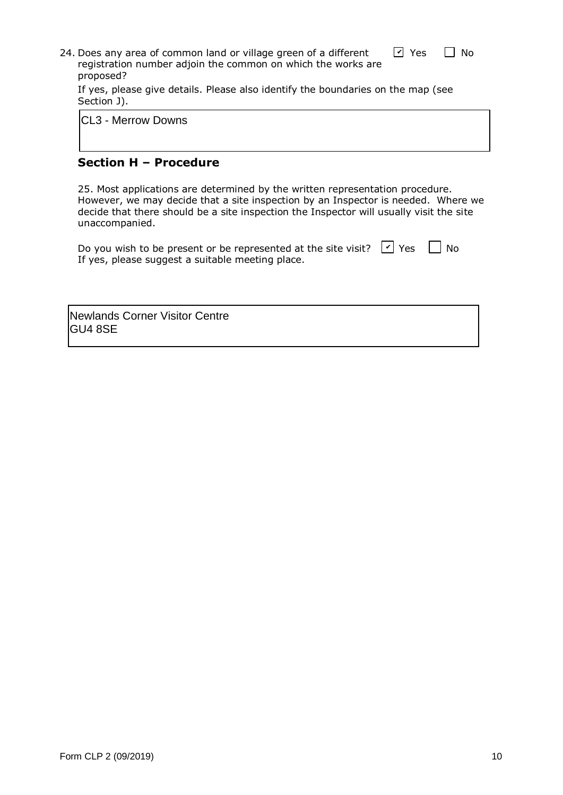| 24. Does any area of common land or village green of a different | $\sqrt{2}$ Yes | <b>No</b> |
|------------------------------------------------------------------|----------------|-----------|
| registration number adjoin the common on which the works are     |                |           |
| proposed?                                                        |                |           |

If yes, please give details. Please also identify the boundaries on the map (see Section J).

CL3 - Merrow Downs

#### **Section H – Procedure**

25. Most applications are determined by the written representation procedure. However, we may decide that a site inspection by an Inspector is needed. Where we decide that there should be a site inspection the Inspector will usually visit the site unaccompanied.

| Do you wish to be present or be represented at the site visit? $\triangledown$ Yes $\Box$ No |  |
|----------------------------------------------------------------------------------------------|--|
| If yes, please suggest a suitable meeting place.                                             |  |

Newlands Corner Visitor Centre GU4 8SE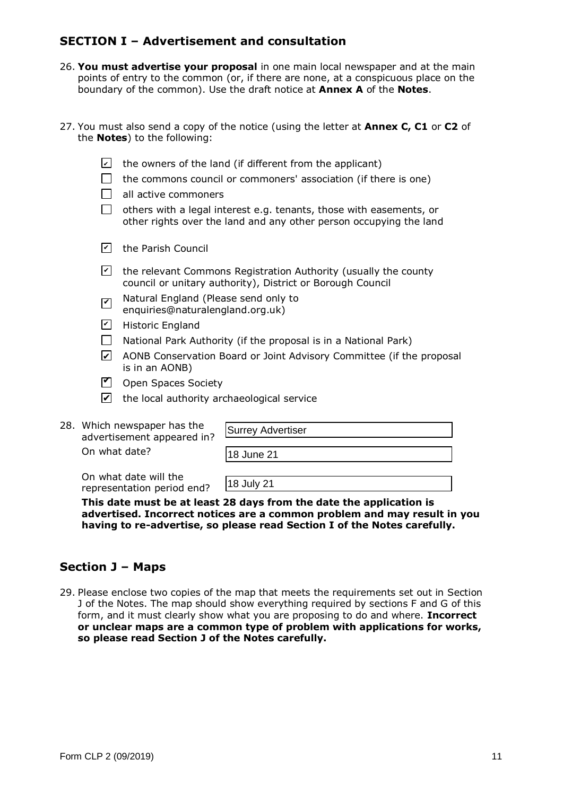## **SECTION I – Advertisement and consultation**

- 26. **You must advertise your proposal** in one main local newspaper and at the main points of entry to the common (or, if there are none, at a conspicuous place on the boundary of the common). Use the draft notice at **Annex A** of the **Notes**.
- 27. You must also send a copy of the notice (using the letter at **Annex C, C1** or **C2** of the **Notes**) to the following:

| $ \mathcal{V} $    | the owners of the land (if different from the applicant)                                                                                  |
|--------------------|-------------------------------------------------------------------------------------------------------------------------------------------|
|                    | the commons council or commoners' association (if there is one)                                                                           |
|                    | all active commoners                                                                                                                      |
|                    | others with a legal interest e.g. tenants, those with easements, or<br>other rights over the land and any other person occupying the land |
| $ \boldsymbol{v} $ | the Parish Council                                                                                                                        |
| $ \boldsymbol{v} $ | the relevant Commons Registration Authority (usually the county<br>council or unitary authority), District or Borough Council             |

- Natural England (Please send only to enquiries@naturalengland.org.uk)  $\vert\bm{\triangledown}\vert$
- <u>시</u> Historic England
- $\Box$  National Park Authority (if the proposal is in a National Park)
- **⊿** AONB Conservation Board or Joint Advisory Committee (if the proposal is in an AONB)
- $\Box$  Open Spaces Society
- $\blacktriangleright$  the local authority archaeological service
- 28. Which newspaper has the advertisement appeared in? On what date?  $\nabla$  Open Spaces Society<br>  $\nabla$  the local authority archaeological<br>
ch newspaper has the<br>
extrisement appeared in?<br>
What date?<br>
What date will the<br>
exentation period end?<br>  $\begin{array}{|l|}\n\hline\n18 \text{ July 21}\n\hline\n\end{array}$

|                   | <b>Surrey Advertiser</b> |  |  |  |
|-------------------|--------------------------|--|--|--|
|                   |                          |  |  |  |
| <b>18 June 21</b> |                          |  |  |  |

On what date will the representation period end?

**This date must be at least 28 days from the date the application is advertised. Incorrect notices are a common problem and may result in you having to re-advertise, so please read Section I of the Notes carefully.**

## **Section J – Maps**

29. Please enclose two copies of the map that meets the requirements set out in Section J of the Notes. The map should show everything required by sections F and G of this form, and it must clearly show what you are proposing to do and where. **Incorrect or unclear maps are a common type of problem with applications for works, so please read Section J of the Notes carefully.**